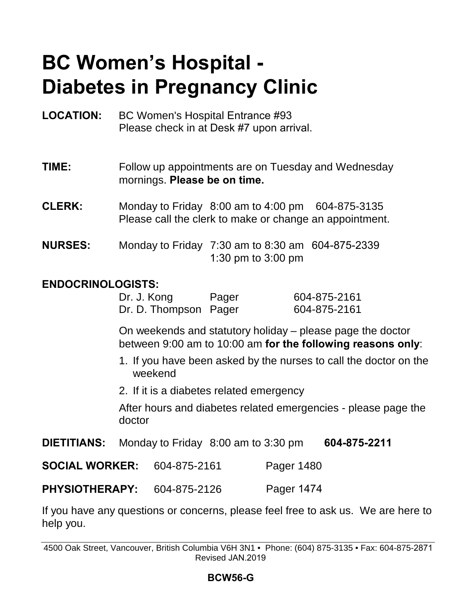# **BC Women's Hospital - Diabetes in Pregnancy Clinic**

**LOCATION:** BC Women's Hospital Entrance #93 Please check in at Desk #7 upon arrival.

**TIME:** Follow up appointments are on Tuesday and Wednesday mornings. **Please be on time.**

**CLERK:** Monday to Friday 8:00 am to 4:00 pm 604-875-3135 Please call the clerk to make or change an appointment.

**NURSES:** Monday to Friday 7:30 am to 8:30 am 604-875-2339 1:30 pm to 3:00 pm

#### **ENDOCRINOLOGISTS:**

| Dr. J. Kong           | Pager | 604-875-2161 |
|-----------------------|-------|--------------|
| Dr. D. Thompson Pager |       | 604-875-2161 |

On weekends and statutory holiday – please page the doctor between 9:00 am to 10:00 am **for the following reasons only**:

- 1. If you have been asked by the nurses to call the doctor on the weekend
- 2. If it is a diabetes related emergency

After hours and diabetes related emergencies - please page the doctor

**DIETITIANS:** Monday to Friday 8:00 am to 3:30 pm **604-875-2211**

**SOCIAL WORKER:** 604-875-2161 Pager 1480

**PHYSIOTHERAPY:** 604-875-2126 Pager 1474

If you have any questions or concerns, please feel free to ask us. We are here to help you.

4500 Oak Street, Vancouver, British Columbia V6H 3N1 • Phone: (604) 875-3135 • Fax: 604-875-2871 Revised JAN.2019

#### **BCW56-G**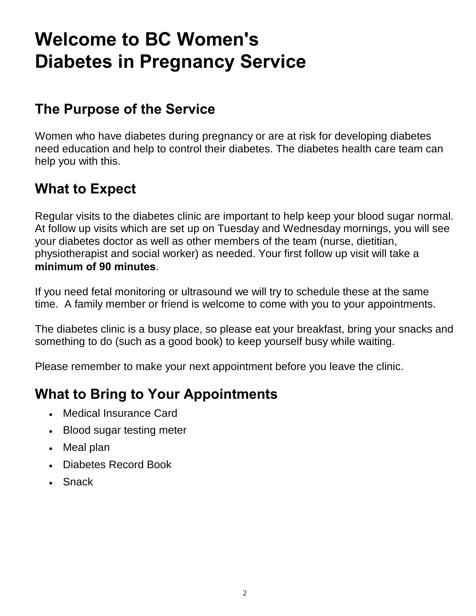# **Welcome to BC Women's Diabetes in Pregnancy Service**

## **The Purpose of the Service**

Women who have diabetes during pregnancy or are at risk for developing diabetes need education and help to control their diabetes. The diabetes health care team can help you with this.

## **What to Expect**

Regular visits to the diabetes clinic are important to help keep your blood sugar normal. At follow up visits which are set up on Tuesday and Wednesday mornings, you will see your diabetes doctor as well as other members of the team (nurse, dietitian, physiotherapist and social worker) as needed. Your first follow up visit will take a **minimum of 90 minutes**.

If you need fetal monitoring or ultrasound we will try to schedule these at the same time. A family member or friend is welcome to come with you to your appointments.

The diabetes clinic is a busy place, so please eat your breakfast, bring your snacks and something to do (such as a good book) to keep yourself busy while waiting.

Please remember to make your next appointment before you leave the clinic.

## **What to Bring to Your Appointments**

- Medical Insurance Card
- Blood sugar testing meter
- Meal plan
- Diabetes Record Book
- Snack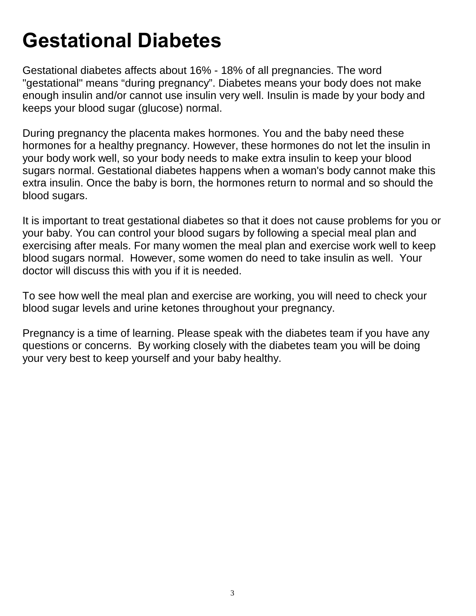# **Gestational Diabetes**

Gestational diabetes affects about 16% - 18% of all pregnancies. The word "gestational" means "during pregnancy". Diabetes means your body does not make enough insulin and/or cannot use insulin very well. Insulin is made by your body and keeps your blood sugar (glucose) normal.

During pregnancy the placenta makes hormones. You and the baby need these hormones for a healthy pregnancy. However, these hormones do not let the insulin in your body work well, so your body needs to make extra insulin to keep your blood sugars normal. Gestational diabetes happens when a woman's body cannot make this extra insulin. Once the baby is born, the hormones return to normal and so should the blood sugars.

It is important to treat gestational diabetes so that it does not cause problems for you or your baby. You can control your blood sugars by following a special meal plan and exercising after meals. For many women the meal plan and exercise work well to keep blood sugars normal. However, some women do need to take insulin as well. Your doctor will discuss this with you if it is needed.

To see how well the meal plan and exercise are working, you will need to check your blood sugar levels and urine ketones throughout your pregnancy.

Pregnancy is a time of learning. Please speak with the diabetes team if you have any questions or concerns. By working closely with the diabetes team you will be doing your very best to keep yourself and your baby healthy.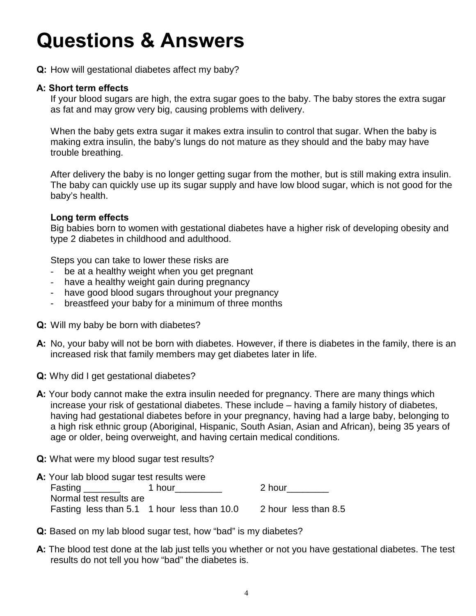# **Questions & Answers**

**Q:** How will gestational diabetes affect my baby?

#### **A: Short term effects**

If your blood sugars are high, the extra sugar goes to the baby. The baby stores the extra sugar as fat and may grow very big, causing problems with delivery.

When the baby gets extra sugar it makes extra insulin to control that sugar. When the baby is making extra insulin, the baby's lungs do not mature as they should and the baby may have trouble breathing.

After delivery the baby is no longer getting sugar from the mother, but is still making extra insulin. The baby can quickly use up its sugar supply and have low blood sugar, which is not good for the baby's health.

#### **Long term effects**

Big babies born to women with gestational diabetes have a higher risk of developing obesity and type 2 diabetes in childhood and adulthood.

Steps you can take to lower these risks are

- be at a healthy weight when you get pregnant
- have a healthy weight gain during pregnancy
- have good blood sugars throughout your pregnancy
- breastfeed your baby for a minimum of three months
- **Q:** Will my baby be born with diabetes?
- **A:** No, your baby will not be born with diabetes. However, if there is diabetes in the family, there is an increased risk that family members may get diabetes later in life.
- **Q:** Why did I get gestational diabetes?
- **A:** Your body cannot make the extra insulin needed for pregnancy. There are many things which increase your risk of gestational diabetes. These include – having a family history of diabetes, having had gestational diabetes before in your pregnancy, having had a large baby, belonging to a high risk ethnic group (Aboriginal, Hispanic, South Asian, Asian and African), being 35 years of age or older, being overweight, and having certain medical conditions.
- **Q:** What were my blood sugar test results?
- **A:** Your lab blood sugar test results were Fasting \_\_\_\_\_\_\_\_ 1 hour\_\_\_\_\_\_\_\_\_ 2 hour\_\_\_\_\_\_\_ Normal test results are Fasting less than 5.1 1 hour less than 10.0 2 hour less than 8.5
- **Q:** Based on my lab blood sugar test, how "bad" is my diabetes?
- **A:** The blood test done at the lab just tells you whether or not you have gestational diabetes. The test results do not tell you how "bad" the diabetes is.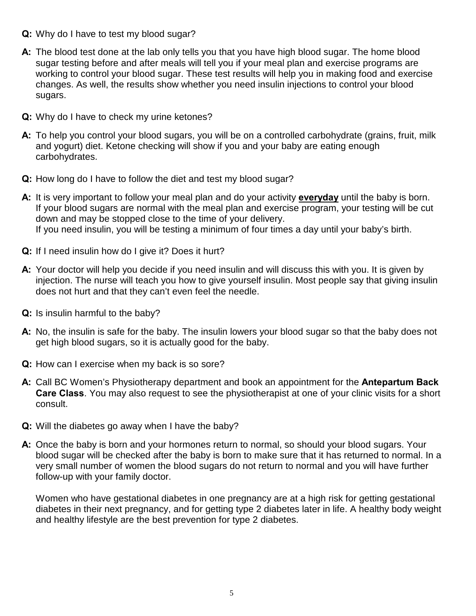- **Q:** Why do I have to test my blood sugar?
- **A:** The blood test done at the lab only tells you that you have high blood sugar. The home blood sugar testing before and after meals will tell you if your meal plan and exercise programs are working to control your blood sugar. These test results will help you in making food and exercise changes. As well, the results show whether you need insulin injections to control your blood sugars.
- **Q:** Why do I have to check my urine ketones?
- **A:** To help you control your blood sugars, you will be on a controlled carbohydrate (grains, fruit, milk and yogurt) diet. Ketone checking will show if you and your baby are eating enough carbohydrates.
- **Q:** How long do I have to follow the diet and test my blood sugar?
- **A:** It is very important to follow your meal plan and do your activity **everyday** until the baby is born. If your blood sugars are normal with the meal plan and exercise program, your testing will be cut down and may be stopped close to the time of your delivery. If you need insulin, you will be testing a minimum of four times a day until your baby's birth.
- **Q:** If I need insulin how do I give it? Does it hurt?
- **A:** Your doctor will help you decide if you need insulin and will discuss this with you. It is given by injection. The nurse will teach you how to give yourself insulin. Most people say that giving insulin does not hurt and that they can't even feel the needle.
- **Q:** Is insulin harmful to the baby?
- **A:** No, the insulin is safe for the baby. The insulin lowers your blood sugar so that the baby does not get high blood sugars, so it is actually good for the baby.
- **Q:** How can I exercise when my back is so sore?
- **A:** Call BC Women's Physiotherapy department and book an appointment for the **Antepartum Back Care Class**. You may also request to see the physiotherapist at one of your clinic visits for a short consult.
- **Q:** Will the diabetes go away when I have the baby?
- **A:** Once the baby is born and your hormones return to normal, so should your blood sugars. Your blood sugar will be checked after the baby is born to make sure that it has returned to normal. In a very small number of women the blood sugars do not return to normal and you will have further follow-up with your family doctor.

Women who have gestational diabetes in one pregnancy are at a high risk for getting gestational diabetes in their next pregnancy, and for getting type 2 diabetes later in life. A healthy body weight and healthy lifestyle are the best prevention for type 2 diabetes.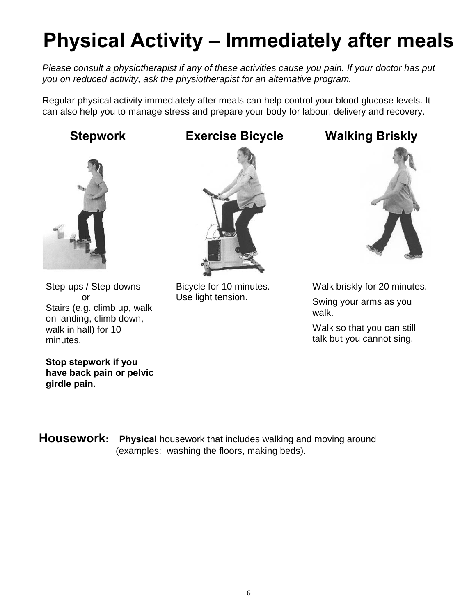# **Physical Activity – Immediately after meals**

*Please consult a physiotherapist if any of these activities cause you pain. If your doctor has put you on reduced activity, ask the physiotherapist for an alternative program.*

Regular physical activity immediately after meals can help control your blood glucose levels. It can also help you to manage stress and prepare your body for labour, delivery and recovery.



Step-ups / Step-downs or Stairs (e.g. climb up, walk on landing, climb down, walk in hall) for 10 minutes.

**Stop stepwork if you have back pain or pelvic girdle pain.**

#### **Stepwork Exercise Bicycle Walking Briskly**



Bicycle for 10 minutes. Use light tension.



Walk briskly for 20 minutes. Swing your arms as you walk.

Walk so that you can still talk but you cannot sing.

**Housework:** Physical housework that includes walking and moving around (examples: washing the floors, making beds).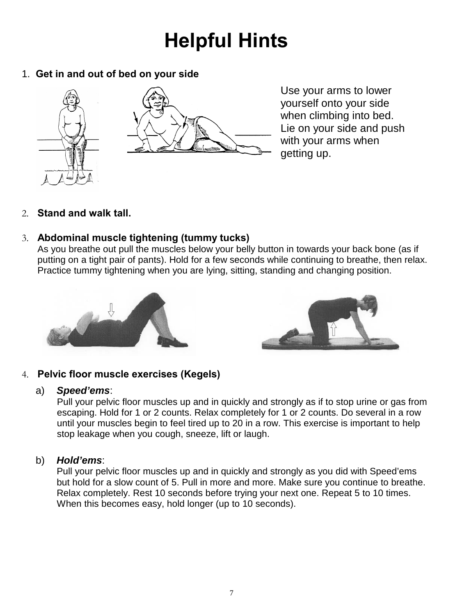# **Helpful Hints**

1. **Get in and out of bed on your side**



Use your arms to lower yourself onto your side when climbing into bed. Lie on your side and push with your arms when getting up.

2. **Stand and walk tall.** 

#### 3. **Abdominal muscle tightening (tummy tucks)**

As you breathe out pull the muscles below your belly button in towards your back bone (as if putting on a tight pair of pants). Hold for a few seconds while continuing to breathe, then relax. Practice tummy tightening when you are lying, sitting, standing and changing position.





#### 4. **Pelvic floor muscle exercises (Kegels)**

#### a) *Speed'ems*:

Pull your pelvic floor muscles up and in quickly and strongly as if to stop urine or gas from escaping. Hold for 1 or 2 counts. Relax completely for 1 or 2 counts. Do several in a row until your muscles begin to feel tired up to 20 in a row. This exercise is important to help stop leakage when you cough, sneeze, lift or laugh.

#### b) *Hold'ems*:

Pull your pelvic floor muscles up and in quickly and strongly as you did with Speed'ems but hold for a slow count of 5. Pull in more and more. Make sure you continue to breathe. Relax completely. Rest 10 seconds before trying your next one. Repeat 5 to 10 times. When this becomes easy, hold longer (up to 10 seconds).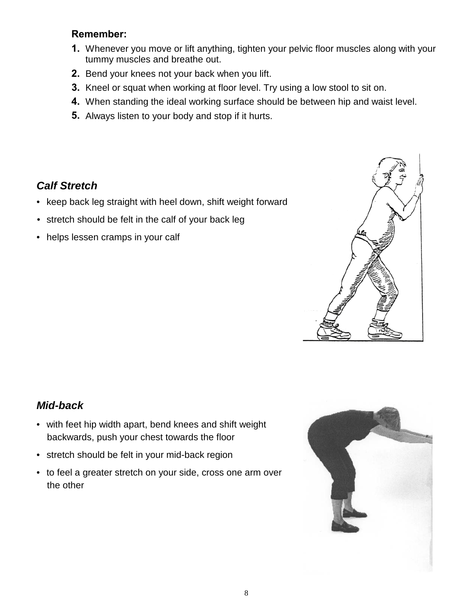#### **Remember:**

- **1.** Whenever you move or lift anything, tighten your pelvic floor muscles along with your tummy muscles and breathe out.
- **2.** Bend your knees not your back when you lift.
- **3.** Kneel or squat when working at floor level. Try using a low stool to sit on.
- **4.** When standing the ideal working surface should be between hip and waist level.
- **5.** Always listen to your body and stop if it hurts.

#### *Calf Stretch*

- keep back leg straight with heel down, shift weight forward
- stretch should be felt in the calf of your back leg
- helps lessen cramps in your calf



#### *Mid-back*

- with feet hip width apart, bend knees and shift weight backwards, push your chest towards the floor
- stretch should be felt in your mid-back region
- to feel a greater stretch on your side, cross one arm over the other

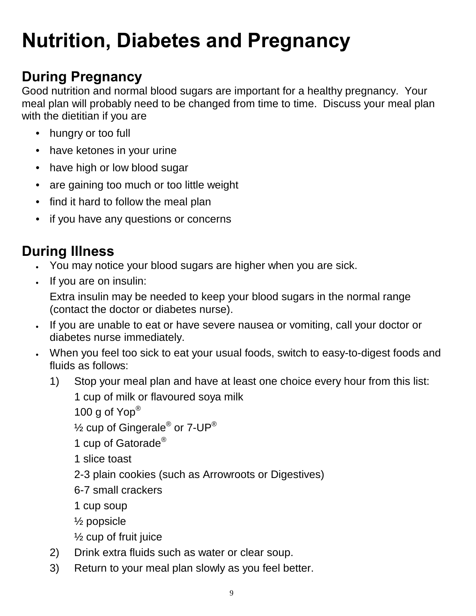# **Nutrition, Diabetes and Pregnancy**

## **During Pregnancy**

Good nutrition and normal blood sugars are important for a healthy pregnancy. Your meal plan will probably need to be changed from time to time. Discuss your meal plan with the dietitian if you are

- hungry or too full
- have ketones in your urine
- have high or low blood sugar
- are gaining too much or too little weight
- find it hard to follow the meal plan
- if you have any questions or concerns

## **During Illness**

- You may notice your blood sugars are higher when you are sick.
- If you are on insulin:

Extra insulin may be needed to keep your blood sugars in the normal range (contact the doctor or diabetes nurse).

- If you are unable to eat or have severe nausea or vomiting, call your doctor or diabetes nurse immediately.
- When you feel too sick to eat your usual foods, switch to easy-to-digest foods and fluids as follows:
	- 1) Stop your meal plan and have at least one choice every hour from this list:

1 cup of milk or flavoured soya milk

100 g of Yop®

 $\frac{1}{2}$  cup of Gingerale<sup>®</sup> or 7-UP<sup>®</sup>

- 1 cup of Gatorade<sup>®</sup>
- 1 slice toast
- 2-3 plain cookies (such as Arrowroots or Digestives)
- 6-7 small crackers
- 1 cup soup
- ½ popsicle
- ½ cup of fruit juice
- 2) Drink extra fluids such as water or clear soup.
- 3) Return to your meal plan slowly as you feel better.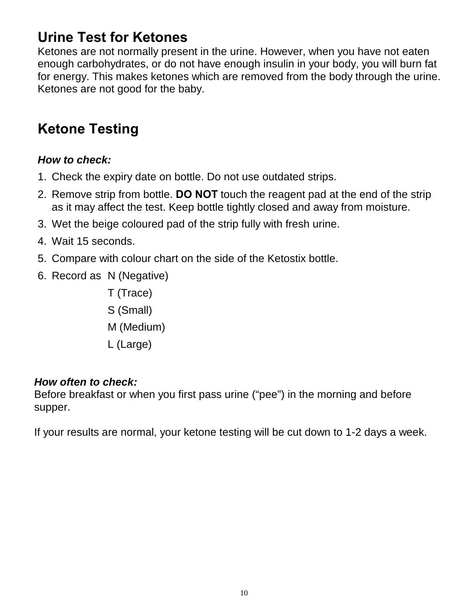## **Urine Test for Ketones**

Ketones are not normally present in the urine. However, when you have not eaten enough carbohydrates, or do not have enough insulin in your body, you will burn fat for energy. This makes ketones which are removed from the body through the urine. Ketones are not good for the baby.

## **Ketone Testing**

#### *How to check:*

- 1. Check the expiry date on bottle. Do not use outdated strips.
- 2. Remove strip from bottle. **DO NOT** touch the reagent pad at the end of the strip as it may affect the test. Keep bottle tightly closed and away from moisture.
- 3. Wet the beige coloured pad of the strip fully with fresh urine.
- 4. Wait 15 seconds.
- 5. Compare with colour chart on the side of the Ketostix bottle.
- 6. Record as N (Negative)
	- T (Trace) S (Small) M (Medium) L (Large)

#### *How often to check:*

Before breakfast or when you first pass urine ("pee") in the morning and before supper.

If your results are normal, your ketone testing will be cut down to 1-2 days a week.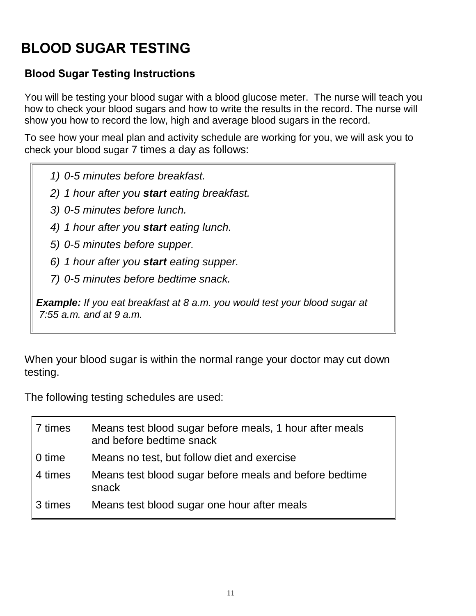## **BLOOD SUGAR TESTING**

#### **Blood Sugar Testing Instructions**

You will be testing your blood sugar with a blood glucose meter. The nurse will teach you how to check your blood sugars and how to write the results in the record. The nurse will show you how to record the low, high and average blood sugars in the record.

To see how your meal plan and activity schedule are working for you, we will ask you to check your blood sugar 7 times a day as follows:

- *1) 0-5 minutes before breakfast.*
- *2) 1 hour after you start eating breakfast.*
- *3) 0-5 minutes before lunch.*
- *4) 1 hour after you start eating lunch.*
- *5) 0-5 minutes before supper.*
- *6) 1 hour after you start eating supper.*
- *7) 0-5 minutes before bedtime snack.*

*Example: If you eat breakfast at 8 a.m. you would test your blood sugar at 7:55 a.m. and at 9 a.m.* 

When your blood sugar is within the normal range your doctor may cut down testing.

The following testing schedules are used:

| 7 times | Means test blood sugar before meals, 1 hour after meals<br>and before bedtime snack |
|---------|-------------------------------------------------------------------------------------|
| 0 time  | Means no test, but follow diet and exercise                                         |
| 4 times | Means test blood sugar before meals and before bedtime<br>snack                     |
| 3 times | Means test blood sugar one hour after meals                                         |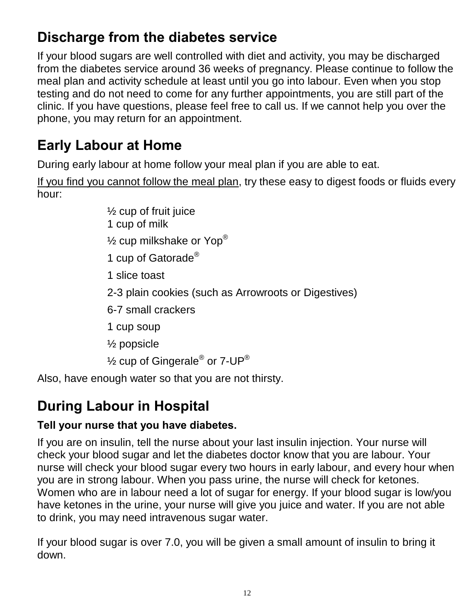## **Discharge from the diabetes service**

If your blood sugars are well controlled with diet and activity, you may be discharged from the diabetes service around 36 weeks of pregnancy. Please continue to follow the meal plan and activity schedule at least until you go into labour. Even when you stop testing and do not need to come for any further appointments, you are still part of the clinic. If you have questions, please feel free to call us. If we cannot help you over the phone, you may return for an appointment.

## **Early Labour at Home**

During early labour at home follow your meal plan if you are able to eat.

If you find you cannot follow the meal plan, try these easy to digest foods or fluids every hour:

> $\frac{1}{2}$  cup of fruit juice 1 cup of milk  $\frac{1}{2}$  cup milkshake or Yop® 1 cup of Gatorade<sup>®</sup> 1 slice toast 2-3 plain cookies (such as Arrowroots or Digestives) 6-7 small crackers 1 cup soup ½ popsicle  $\frac{1}{2}$  cup of Gingerale<sup>®</sup> or 7-UP<sup>®</sup>

Also, have enough water so that you are not thirsty.

## **During Labour in Hospital**

#### **Tell your nurse that you have diabetes.**

If you are on insulin, tell the nurse about your last insulin injection. Your nurse will check your blood sugar and let the diabetes doctor know that you are labour. Your nurse will check your blood sugar every two hours in early labour, and every hour when you are in strong labour. When you pass urine, the nurse will check for ketones. Women who are in labour need a lot of sugar for energy. If your blood sugar is low/you have ketones in the urine, your nurse will give you juice and water. If you are not able to drink, you may need intravenous sugar water.

If your blood sugar is over 7.0, you will be given a small amount of insulin to bring it down.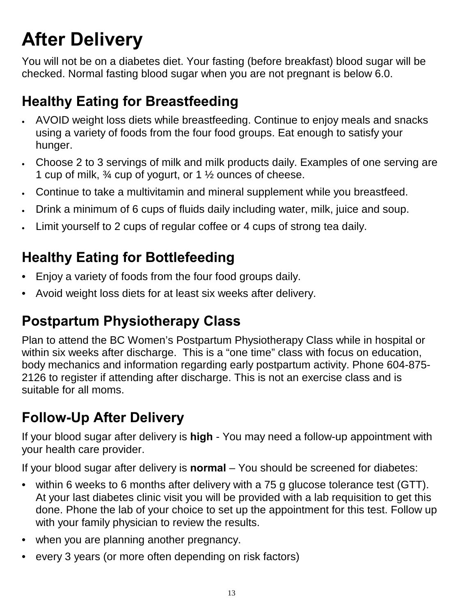# **After Delivery**

You will not be on a diabetes diet. Your fasting (before breakfast) blood sugar will be checked. Normal fasting blood sugar when you are not pregnant is below 6.0.

## **Healthy Eating for Breastfeeding**

- AVOID weight loss diets while breastfeeding. Continue to enjoy meals and snacks using a variety of foods from the four food groups. Eat enough to satisfy your hunger.
- Choose 2 to 3 servings of milk and milk products daily. Examples of one serving are 1 cup of milk, ¾ cup of yogurt, or 1 ½ ounces of cheese.
- Continue to take a multivitamin and mineral supplement while you breastfeed.
- Drink a minimum of 6 cups of fluids daily including water, milk, juice and soup.
- Limit yourself to 2 cups of regular coffee or 4 cups of strong tea daily.

## **Healthy Eating for Bottlefeeding**

- Enjoy a variety of foods from the four food groups daily.
- Avoid weight loss diets for at least six weeks after delivery.

## **Postpartum Physiotherapy Class**

Plan to attend the BC Women's Postpartum Physiotherapy Class while in hospital or within six weeks after discharge. This is a "one time" class with focus on education, body mechanics and information regarding early postpartum activity. Phone 604-875- 2126 to register if attending after discharge. This is not an exercise class and is suitable for all moms.

## **Follow-Up After Delivery**

If your blood sugar after delivery is **high** - You may need a follow-up appointment with your health care provider.

If your blood sugar after delivery is **normal** – You should be screened for diabetes:

- within 6 weeks to 6 months after delivery with a 75 g glucose tolerance test (GTT). At your last diabetes clinic visit you will be provided with a lab requisition to get this done. Phone the lab of your choice to set up the appointment for this test. Follow up with your family physician to review the results.
- when you are planning another pregnancy.
- every 3 years (or more often depending on risk factors)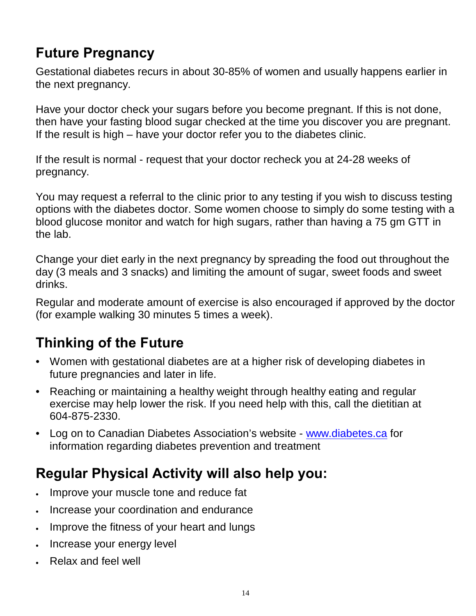## **Future Pregnancy**

Gestational diabetes recurs in about 30-85% of women and usually happens earlier in the next pregnancy.

Have your doctor check your sugars before you become pregnant. If this is not done, then have your fasting blood sugar checked at the time you discover you are pregnant. If the result is high – have your doctor refer you to the diabetes clinic.

If the result is normal - request that your doctor recheck you at 24-28 weeks of pregnancy.

You may request a referral to the clinic prior to any testing if you wish to discuss testing options with the diabetes doctor. Some women choose to simply do some testing with a blood glucose monitor and watch for high sugars, rather than having a 75 gm GTT in the lab.

Change your diet early in the next pregnancy by spreading the food out throughout the day (3 meals and 3 snacks) and limiting the amount of sugar, sweet foods and sweet drinks.

Regular and moderate amount of exercise is also encouraged if approved by the doctor (for example walking 30 minutes 5 times a week).

## **Thinking of the Future**

- Women with gestational diabetes are at a higher risk of developing diabetes in future pregnancies and later in life.
- Reaching or maintaining a healthy weight through healthy eating and regular exercise may help lower the risk. If you need help with this, call the dietitian at 604-875-2330.
- Log on to Canadian Diabetes Association's websit[e www.diabetes.ca](http://www.diabetes.ca/) for information regarding diabetes prevention and treatment

#### **Regular Physical Activity will also help you:**

- Improve your muscle tone and reduce fat
- Increase your coordination and endurance
- Improve the fitness of your heart and lungs
- Increase your energy level
- Relax and feel well